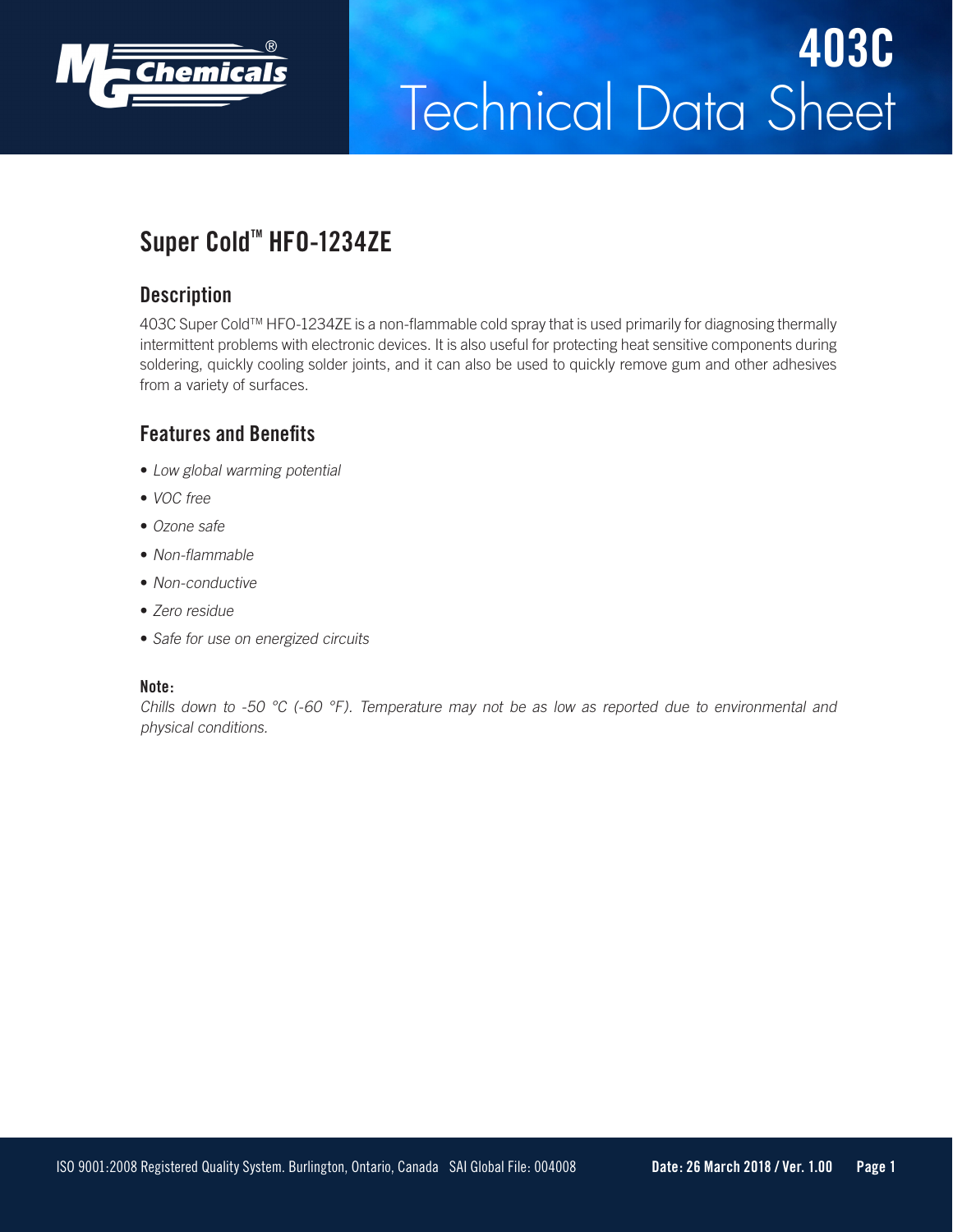

# Technical Data Sheet **403C**

## Super Cold<sup>™</sup> HF0-1234ZE

#### **Description**

403C Super Cold™ HFO-1234ZE is a non-flammable cold spray that is used primarily for diagnosing thermally intermittent problems with electronic devices. It is also useful for protecting heat sensitive components during soldering, quickly cooling solder joints, and it can also be used to quickly remove gum and other adhesives from a variety of surfaces.

#### **Features and Benefits**

- Low global warming potential
- VOC free
- Ozone safe
- Non-flammable
- Non-conductive
- Zero residue
- Safe for use on energized circuits

#### **Note:**

Chills down to -50  $^{\circ}$ C (-60  $^{\circ}$ F). Temperature may not be as low as reported due to environmental and physical conditions.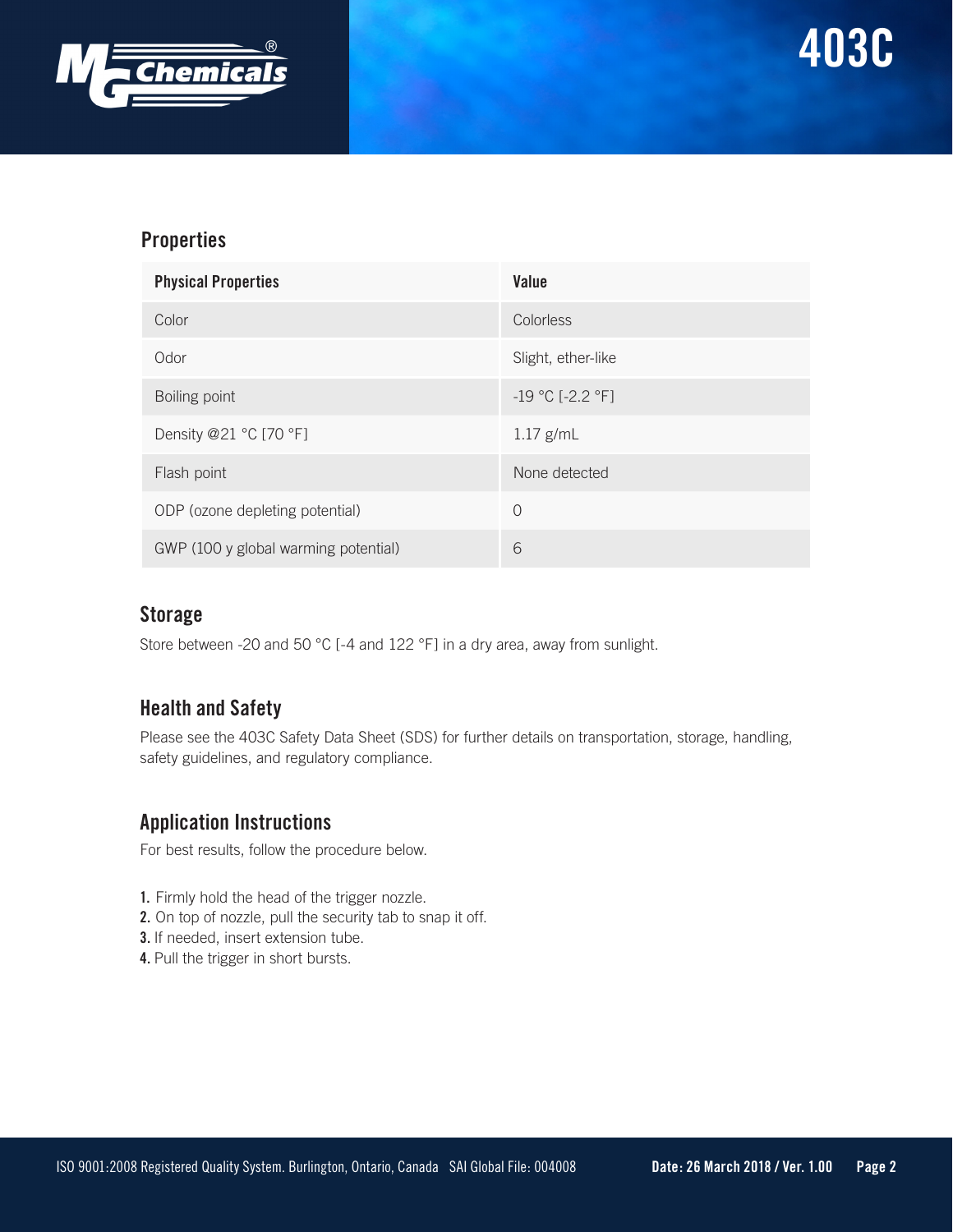

#### **Properties**

| <b>Physical Properties</b>           | Value                  |
|--------------------------------------|------------------------|
| Color                                | Colorless              |
| Odor                                 | Slight, ether-like     |
| Boiling point                        | $-19 °C$ [ $-2.2 °F$ ] |
| Density @21 °C [70 °F]               | $1.17$ g/mL            |
| Flash point                          | None detected          |
| ODP (ozone depleting potential)      | $\Omega$               |
| GWP (100 y global warming potential) | 6                      |

#### **Storage**

Store between -20 and 50 °C [-4 and 122 °F] in a dry area, away from sunlight.

### **Health and Safety**

Please see the 403C Safety Data Sheet (SDS) for further details on transportation, storage, handling, safety guidelines, and regulatory compliance.

#### **Application Instructions**

For best results, follow the procedure below.

- **1.** Firmly hold the head of the trigger nozzle.
- **2.** On top of nozzle, pull the security tab to snap it off.
- **3.** If needed, insert extension tube.
- **4.** Pull the trigger in short bursts.